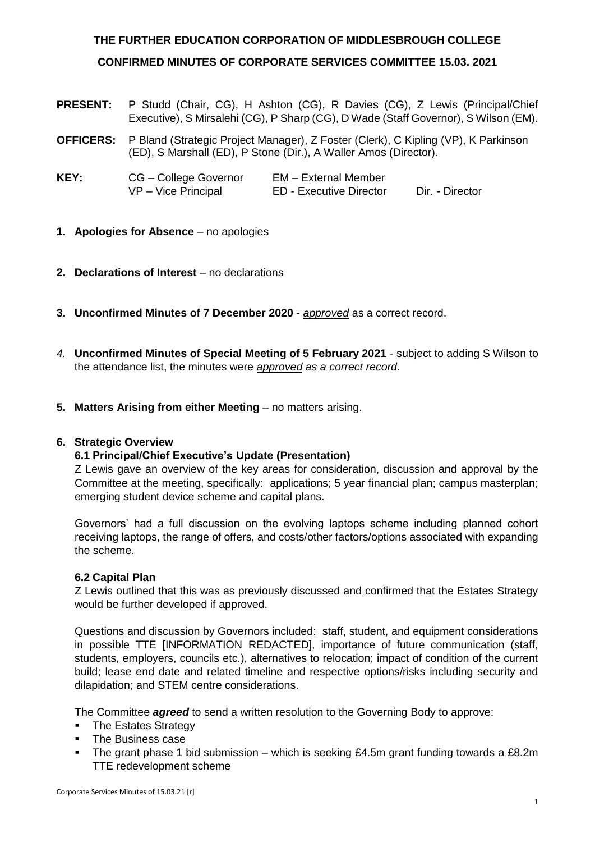# **THE FURTHER EDUCATION CORPORATION OF MIDDLESBROUGH COLLEGE CONFIRMED MINUTES OF CORPORATE SERVICES COMMITTEE 15.03. 2021**

- **PRESENT:** P Studd (Chair, CG), H Ashton (CG), R Davies (CG), Z Lewis (Principal/Chief Executive), S Mirsalehi (CG), P Sharp (CG), D Wade (Staff Governor), S Wilson (EM).
- **OFFICERS:** P Bland (Strategic Project Manager), Z Foster (Clerk), C Kipling (VP), K Parkinson (ED), S Marshall (ED), P Stone (Dir.), A Waller Amos (Director).

| KEY: | CG – College Governor | EM – External Member    |                 |
|------|-----------------------|-------------------------|-----------------|
|      | $VP - Vice$ Principal | ED - Executive Director | Dir. - Director |

- **1. Apologies for Absence** no apologies
- **2. Declarations of Interest** no declarations
- **3. Unconfirmed Minutes of 7 December 2020** *approved* as a correct record.
- *4.* **Unconfirmed Minutes of Special Meeting of 5 February 2021**  subject to adding S Wilson to the attendance list, the minutes were *approved as a correct record.*
- **5. Matters Arising from either Meeting** no matters arising.

## **6. Strategic Overview**

## **6.1 Principal/Chief Executive's Update (Presentation)**

Z Lewis gave an overview of the key areas for consideration, discussion and approval by the Committee at the meeting, specifically: applications; 5 year financial plan; campus masterplan; emerging student device scheme and capital plans.

Governors' had a full discussion on the evolving laptops scheme including planned cohort receiving laptops, the range of offers, and costs/other factors/options associated with expanding the scheme.

## **6.2 Capital Plan**

Z Lewis outlined that this was as previously discussed and confirmed that the Estates Strategy would be further developed if approved.

Questions and discussion by Governors included: staff, student, and equipment considerations in possible TTE [INFORMATION REDACTED], importance of future communication (staff, students, employers, councils etc.), alternatives to relocation; impact of condition of the current build; lease end date and related timeline and respective options/risks including security and dilapidation; and STEM centre considerations.

The Committee *agreed* to send a written resolution to the Governing Body to approve:

- The Estates Strategy
- The Business case
- The grant phase 1 bid submission which is seeking  $£4.5m$  grant funding towards a  $£8.2m$ TTE redevelopment scheme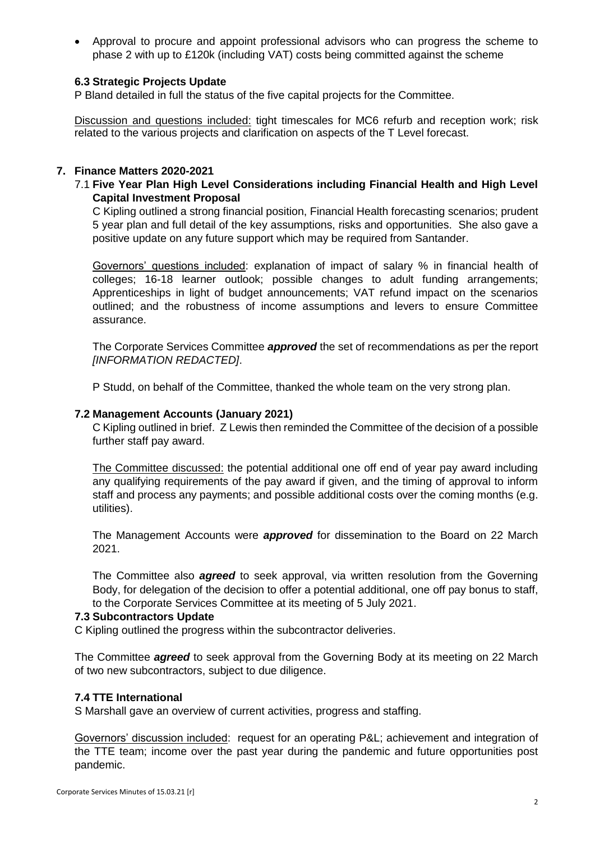• Approval to procure and appoint professional advisors who can progress the scheme to phase 2 with up to £120k (including VAT) costs being committed against the scheme

# **6.3 Strategic Projects Update**

P Bland detailed in full the status of the five capital projects for the Committee.

Discussion and questions included: tight timescales for MC6 refurb and reception work; risk related to the various projects and clarification on aspects of the T Level forecast.

## **7. Finance Matters 2020-2021**

# 7.1 **Five Year Plan High Level Considerations including Financial Health and High Level Capital Investment Proposal**

C Kipling outlined a strong financial position, Financial Health forecasting scenarios; prudent 5 year plan and full detail of the key assumptions, risks and opportunities. She also gave a positive update on any future support which may be required from Santander.

Governors' questions included: explanation of impact of salary % in financial health of colleges; 16-18 learner outlook; possible changes to adult funding arrangements; Apprenticeships in light of budget announcements; VAT refund impact on the scenarios outlined; and the robustness of income assumptions and levers to ensure Committee assurance.

The Corporate Services Committee *approved* the set of recommendations as per the report *[INFORMATION REDACTED]*.

P Studd, on behalf of the Committee, thanked the whole team on the very strong plan.

#### **7.2 Management Accounts (January 2021)**

C Kipling outlined in brief. Z Lewis then reminded the Committee of the decision of a possible further staff pay award.

The Committee discussed: the potential additional one off end of year pay award including any qualifying requirements of the pay award if given, and the timing of approval to inform staff and process any payments; and possible additional costs over the coming months (e.g. utilities).

The Management Accounts were *approved* for dissemination to the Board on 22 March 2021.

The Committee also *agreed* to seek approval, via written resolution from the Governing Body, for delegation of the decision to offer a potential additional, one off pay bonus to staff, to the Corporate Services Committee at its meeting of 5 July 2021.

#### **7.3 Subcontractors Update**

C Kipling outlined the progress within the subcontractor deliveries.

The Committee *agreed* to seek approval from the Governing Body at its meeting on 22 March of two new subcontractors, subject to due diligence.

#### **7.4 TTE International**

S Marshall gave an overview of current activities, progress and staffing.

Governors' discussion included: request for an operating P&L; achievement and integration of the TTE team; income over the past year during the pandemic and future opportunities post pandemic.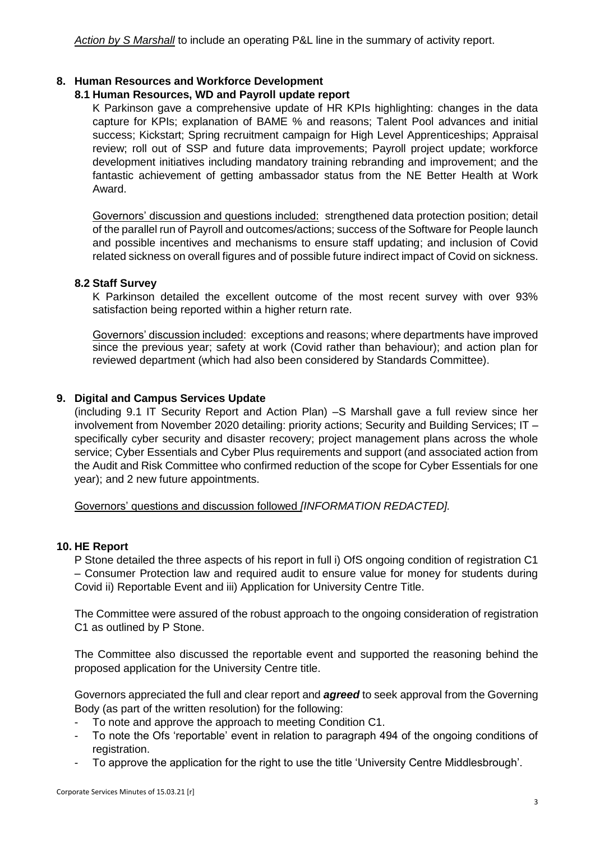*Action by S Marshall* to include an operating P&L line in the summary of activity report.

## **8. Human Resources and Workforce Development**

#### **8.1 Human Resources, WD and Payroll update report**

K Parkinson gave a comprehensive update of HR KPIs highlighting: changes in the data capture for KPIs; explanation of BAME % and reasons; Talent Pool advances and initial success; Kickstart; Spring recruitment campaign for High Level Apprenticeships; Appraisal review; roll out of SSP and future data improvements; Payroll project update; workforce development initiatives including mandatory training rebranding and improvement; and the fantastic achievement of getting ambassador status from the NE Better Health at Work Award.

Governors' discussion and questions included: strengthened data protection position; detail of the parallel run of Payroll and outcomes/actions; success of the Software for People launch and possible incentives and mechanisms to ensure staff updating; and inclusion of Covid related sickness on overall figures and of possible future indirect impact of Covid on sickness.

#### **8.2 Staff Survey**

K Parkinson detailed the excellent outcome of the most recent survey with over 93% satisfaction being reported within a higher return rate.

Governors' discussion included: exceptions and reasons; where departments have improved since the previous year; safety at work (Covid rather than behaviour); and action plan for reviewed department (which had also been considered by Standards Committee).

#### **9. Digital and Campus Services Update**

(including 9.1 IT Security Report and Action Plan) –S Marshall gave a full review since her involvement from November 2020 detailing: priority actions; Security and Building Services; IT – specifically cyber security and disaster recovery; project management plans across the whole service; Cyber Essentials and Cyber Plus requirements and support (and associated action from the Audit and Risk Committee who confirmed reduction of the scope for Cyber Essentials for one year); and 2 new future appointments.

Governors' questions and discussion followed *[INFORMATION REDACTED].*

#### **10. HE Report**

P Stone detailed the three aspects of his report in full i) OfS ongoing condition of registration C1 – Consumer Protection law and required audit to ensure value for money for students during Covid ii) Reportable Event and iii) Application for University Centre Title.

The Committee were assured of the robust approach to the ongoing consideration of registration C1 as outlined by P Stone.

The Committee also discussed the reportable event and supported the reasoning behind the proposed application for the University Centre title.

Governors appreciated the full and clear report and *agreed* to seek approval from the Governing Body (as part of the written resolution) for the following:

- To note and approve the approach to meeting Condition C1.
- To note the Ofs 'reportable' event in relation to paragraph 494 of the ongoing conditions of registration.
- To approve the application for the right to use the title 'University Centre Middlesbrough'.